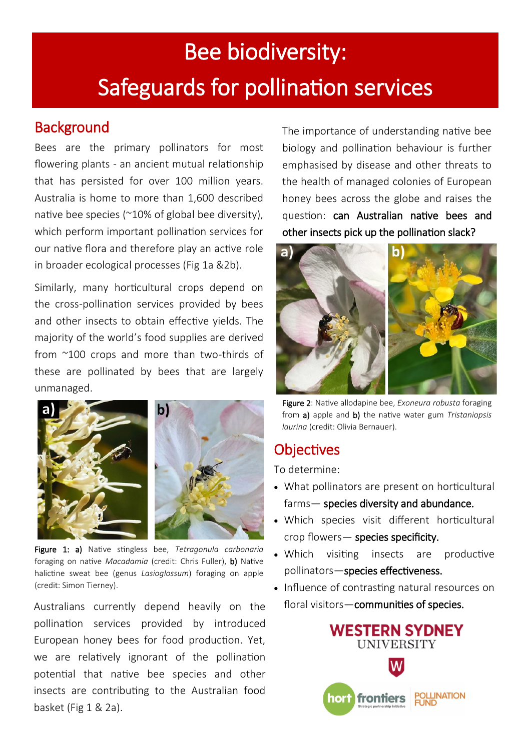# Bee biodiversity: Safeguards for pollination services

#### **Background**

Bees are the primary pollinators for most flowering plants - an ancient mutual relationship that has persisted for over 100 million years. Australia is home to more than 1,600 described native bee species (~10% of global bee diversity), which perform important pollination services for our native flora and therefore play an active role in broader ecological processes (Fig 1a &2b).

Similarly, many horticultural crops depend on the cross-pollination services provided by bees and other insects to obtain effective yields. The majority of the world's food supplies are derived from ~100 crops and more than two-thirds of these are pollinated by bees that are largely unmanaged.



Figure 1: a) Native stingless bee, *Tetragonula carbonaria* foraging on native *Macadamia* (credit: Chris Fuller), b) Native halictine sweat bee (genus *Lasioglossum*) foraging on apple (credit: Simon Tierney).

Australians currently depend heavily on the pollination services provided by introduced European honey bees for food production. Yet, we are relatively ignorant of the pollination potential that native bee species and other insects are contributing to the Australian food basket (Fig 1 & 2a).

The importance of understanding native bee biology and pollination behaviour is further emphasised by disease and other threats to the health of managed colonies of European honey bees across the globe and raises the question: can Australian native bees and other insects pick up the pollination slack?



Figure 2: Native allodapine bee, *Exoneura robusta* foraging from a) apple and b) the native water gum *Tristaniopsis laurina* (credit: Olivia Bernauer).

## **Objectives**

To determine:

- What pollinators are present on horticultural farms— species diversity and abundance.
- Which species visit different horticultural  $\mathsf{crop}\nmid \mathsf{lowest}-\nmid \mathsf{species}\nmid \mathsf{city}.$
- Which visiting insects are productive pollinators—species effectiveness.
- Influence of contrasting natural resources on floral visitors—communities of species.